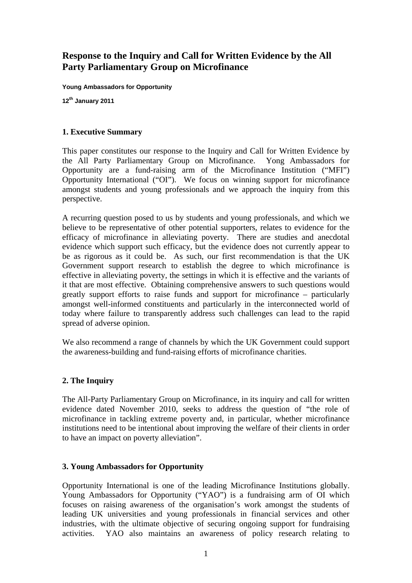# **Response to the Inquiry and Call for Written Evidence by the All Party Parliamentary Group on Microfinance**

**Young Ambassadors for Opportunity** 

**12th January 2011** 

#### **1. Executive Summary**

This paper constitutes our response to the Inquiry and Call for Written Evidence by the All Party Parliamentary Group on Microfinance. Yong Ambassadors for Opportunity are a fund-raising arm of the Microfinance Institution ("MFI") Opportunity International ("OI"). We focus on winning support for microfinance amongst students and young professionals and we approach the inquiry from this perspective.

A recurring question posed to us by students and young professionals, and which we believe to be representative of other potential supporters, relates to evidence for the efficacy of microfinance in alleviating poverty. There are studies and anecdotal evidence which support such efficacy, but the evidence does not currently appear to be as rigorous as it could be. As such, our first recommendation is that the UK Government support research to establish the degree to which microfinance is effective in alleviating poverty, the settings in which it is effective and the variants of it that are most effective. Obtaining comprehensive answers to such questions would greatly support efforts to raise funds and support for microfinance – particularly amongst well-informed constituents and particularly in the interconnected world of today where failure to transparently address such challenges can lead to the rapid spread of adverse opinion.

We also recommend a range of channels by which the UK Government could support the awareness-building and fund-raising efforts of microfinance charities.

# **2. The Inquiry**

The All-Party Parliamentary Group on Microfinance, in its inquiry and call for written evidence dated November 2010, seeks to address the question of "the role of microfinance in tackling extreme poverty and, in particular, whether microfinance institutions need to be intentional about improving the welfare of their clients in order to have an impact on poverty alleviation".

#### **3. Young Ambassadors for Opportunity**

Opportunity International is one of the leading Microfinance Institutions globally. Young Ambassadors for Opportunity ("YAO") is a fundraising arm of OI which focuses on raising awareness of the organisation's work amongst the students of leading UK universities and young professionals in financial services and other industries, with the ultimate objective of securing ongoing support for fundraising activities. YAO also maintains an awareness of policy research relating to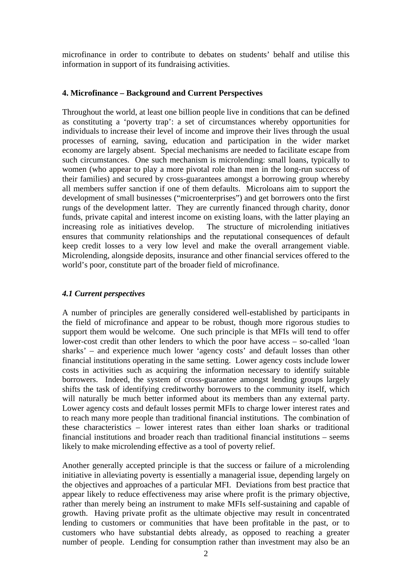microfinance in order to contribute to debates on students' behalf and utilise this information in support of its fundraising activities.

#### **4. Microfinance – Background and Current Perspectives**

Throughout the world, at least one billion people live in conditions that can be defined as constituting a 'poverty trap': a set of circumstances whereby opportunities for individuals to increase their level of income and improve their lives through the usual processes of earning, saving, education and participation in the wider market economy are largely absent. Special mechanisms are needed to facilitate escape from such circumstances. One such mechanism is microlending: small loans, typically to women (who appear to play a more pivotal role than men in the long-run success of their families) and secured by cross-guarantees amongst a borrowing group whereby all members suffer sanction if one of them defaults. Microloans aim to support the development of small businesses ("microenterprises") and get borrowers onto the first rungs of the development latter. They are currently financed through charity, donor funds, private capital and interest income on existing loans, with the latter playing an increasing role as initiatives develop. The structure of microlending initiatives ensures that community relationships and the reputational consequences of default keep credit losses to a very low level and make the overall arrangement viable. Microlending, alongside deposits, insurance and other financial services offered to the world's poor, constitute part of the broader field of microfinance.

# *4.1 Current perspectives*

A number of principles are generally considered well-established by participants in the field of microfinance and appear to be robust, though more rigorous studies to support them would be welcome. One such principle is that MFIs will tend to offer lower-cost credit than other lenders to which the poor have access – so-called 'loan sharks' – and experience much lower 'agency costs' and default losses than other financial institutions operating in the same setting. Lower agency costs include lower costs in activities such as acquiring the information necessary to identify suitable borrowers. Indeed, the system of cross-guarantee amongst lending groups largely shifts the task of identifying creditworthy borrowers to the community itself, which will naturally be much better informed about its members than any external party. Lower agency costs and default losses permit MFIs to charge lower interest rates and to reach many more people than traditional financial institutions. The combination of these characteristics – lower interest rates than either loan sharks or traditional financial institutions and broader reach than traditional financial institutions – seems likely to make microlending effective as a tool of poverty relief.

Another generally accepted principle is that the success or failure of a microlending initiative in alleviating poverty is essentially a managerial issue, depending largely on the objectives and approaches of a particular MFI. Deviations from best practice that appear likely to reduce effectiveness may arise where profit is the primary objective, rather than merely being an instrument to make MFIs self-sustaining and capable of growth. Having private profit as the ultimate objective may result in concentrated lending to customers or communities that have been profitable in the past, or to customers who have substantial debts already, as opposed to reaching a greater number of people. Lending for consumption rather than investment may also be an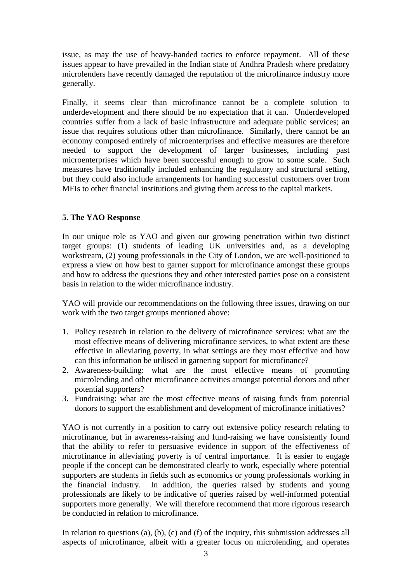issue, as may the use of heavy-handed tactics to enforce repayment. All of these issues appear to have prevailed in the Indian state of Andhra Pradesh where predatory microlenders have recently damaged the reputation of the microfinance industry more generally.

Finally, it seems clear than microfinance cannot be a complete solution to underdevelopment and there should be no expectation that it can. Underdeveloped countries suffer from a lack of basic infrastructure and adequate public services; an issue that requires solutions other than microfinance. Similarly, there cannot be an economy composed entirely of microenterprises and effective measures are therefore needed to support the development of larger businesses, including past microenterprises which have been successful enough to grow to some scale. Such measures have traditionally included enhancing the regulatory and structural setting, but they could also include arrangements for handing successful customers over from MFIs to other financial institutions and giving them access to the capital markets.

# **5. The YAO Response**

In our unique role as YAO and given our growing penetration within two distinct target groups: (1) students of leading UK universities and, as a developing workstream, (2) young professionals in the City of London, we are well-positioned to express a view on how best to garner support for microfinance amongst these groups and how to address the questions they and other interested parties pose on a consistent basis in relation to the wider microfinance industry.

YAO will provide our recommendations on the following three issues, drawing on our work with the two target groups mentioned above:

- 1. Policy research in relation to the delivery of microfinance services: what are the most effective means of delivering microfinance services, to what extent are these effective in alleviating poverty, in what settings are they most effective and how can this information be utilised in garnering support for microfinance?
- 2. Awareness-building: what are the most effective means of promoting microlending and other microfinance activities amongst potential donors and other potential supporters?
- 3. Fundraising: what are the most effective means of raising funds from potential donors to support the establishment and development of microfinance initiatives?

YAO is not currently in a position to carry out extensive policy research relating to microfinance, but in awareness-raising and fund-raising we have consistently found that the ability to refer to persuasive evidence in support of the effectiveness of microfinance in alleviating poverty is of central importance. It is easier to engage people if the concept can be demonstrated clearly to work, especially where potential supporters are students in fields such as economics or young professionals working in the financial industry. In addition, the queries raised by students and young professionals are likely to be indicative of queries raised by well-informed potential supporters more generally. We will therefore recommend that more rigorous research be conducted in relation to microfinance.

In relation to questions (a), (b), (c) and (f) of the inquiry, this submission addresses all aspects of microfinance, albeit with a greater focus on microlending, and operates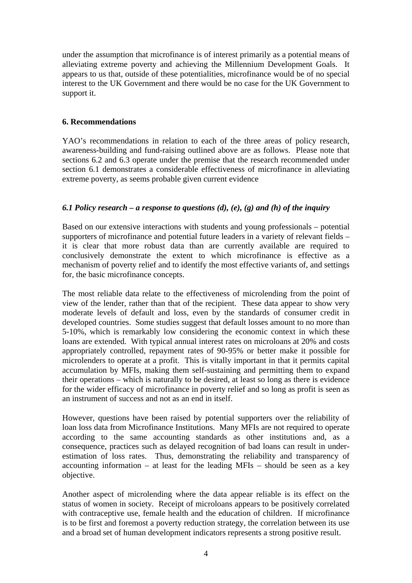under the assumption that microfinance is of interest primarily as a potential means of alleviating extreme poverty and achieving the Millennium Development Goals. It appears to us that, outside of these potentialities, microfinance would be of no special interest to the UK Government and there would be no case for the UK Government to support it.

#### **6. Recommendations**

YAO's recommendations in relation to each of the three areas of policy research, awareness-building and fund-raising outlined above are as follows. Please note that sections 6.2 and 6.3 operate under the premise that the research recommended under section 6.1 demonstrates a considerable effectiveness of microfinance in alleviating extreme poverty, as seems probable given current evidence

# *6.1 Policy research – a response to questions (d), (e), (g) and (h) of the inquiry*

Based on our extensive interactions with students and young professionals – potential supporters of microfinance and potential future leaders in a variety of relevant fields – it is clear that more robust data than are currently available are required to conclusively demonstrate the extent to which microfinance is effective as a mechanism of poverty relief and to identify the most effective variants of, and settings for, the basic microfinance concepts.

The most reliable data relate to the effectiveness of microlending from the point of view of the lender, rather than that of the recipient. These data appear to show very moderate levels of default and loss, even by the standards of consumer credit in developed countries. Some studies suggest that default losses amount to no more than 5-10%, which is remarkably low considering the economic context in which these loans are extended. With typical annual interest rates on microloans at 20% and costs appropriately controlled, repayment rates of 90-95% or better make it possible for microlenders to operate at a profit. This is vitally important in that it permits capital accumulation by MFIs, making them self-sustaining and permitting them to expand their operations – which is naturally to be desired, at least so long as there is evidence for the wider efficacy of microfinance in poverty relief and so long as profit is seen as an instrument of success and not as an end in itself.

However, questions have been raised by potential supporters over the reliability of loan loss data from Microfinance Institutions. Many MFIs are not required to operate according to the same accounting standards as other institutions and, as a consequence, practices such as delayed recognition of bad loans can result in underestimation of loss rates. Thus, demonstrating the reliability and transparency of accounting information – at least for the leading MFIs – should be seen as a key objective.

Another aspect of microlending where the data appear reliable is its effect on the status of women in society. Receipt of microloans appears to be positively correlated with contraceptive use, female health and the education of children. If microfinance is to be first and foremost a poverty reduction strategy, the correlation between its use and a broad set of human development indicators represents a strong positive result.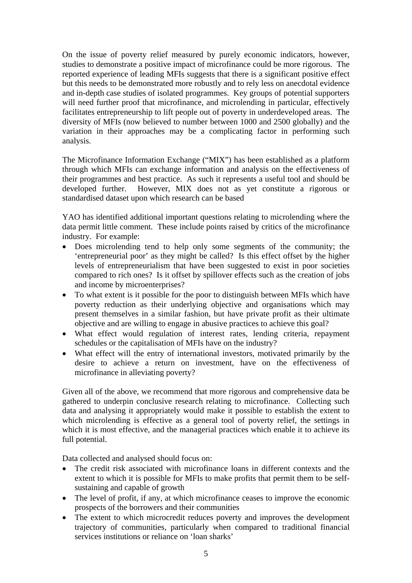On the issue of poverty relief measured by purely economic indicators, however, studies to demonstrate a positive impact of microfinance could be more rigorous. The reported experience of leading MFIs suggests that there is a significant positive effect but this needs to be demonstrated more robustly and to rely less on anecdotal evidence and in-depth case studies of isolated programmes. Key groups of potential supporters will need further proof that microfinance, and microlending in particular, effectively facilitates entrepreneurship to lift people out of poverty in underdeveloped areas. The diversity of MFIs (now believed to number between 1000 and 2500 globally) and the variation in their approaches may be a complicating factor in performing such analysis.

The Microfinance Information Exchange ("MIX") has been established as a platform through which MFIs can exchange information and analysis on the effectiveness of their programmes and best practice. As such it represents a useful tool and should be developed further. However, MIX does not as yet constitute a rigorous or standardised dataset upon which research can be based

YAO has identified additional important questions relating to microlending where the data permit little comment. These include points raised by critics of the microfinance industry. For example:

- Does microlending tend to help only some segments of the community; the 'entrepreneurial poor' as they might be called? Is this effect offset by the higher levels of entrepreneurialism that have been suggested to exist in poor societies compared to rich ones? Is it offset by spillover effects such as the creation of jobs and income by microenterprises?
- To what extent is it possible for the poor to distinguish between MFIs which have poverty reduction as their underlying objective and organisations which may present themselves in a similar fashion, but have private profit as their ultimate objective and are willing to engage in abusive practices to achieve this goal?
- What effect would regulation of interest rates, lending criteria, repayment schedules or the capitalisation of MFIs have on the industry?
- What effect will the entry of international investors, motivated primarily by the desire to achieve a return on investment, have on the effectiveness of microfinance in alleviating poverty?

Given all of the above, we recommend that more rigorous and comprehensive data be gathered to underpin conclusive research relating to microfinance. Collecting such data and analysing it appropriately would make it possible to establish the extent to which microlending is effective as a general tool of poverty relief, the settings in which it is most effective, and the managerial practices which enable it to achieve its full potential.

Data collected and analysed should focus on:

- The credit risk associated with microfinance loans in different contexts and the extent to which it is possible for MFIs to make profits that permit them to be selfsustaining and capable of growth
- The level of profit, if any, at which microfinance ceases to improve the economic prospects of the borrowers and their communities
- The extent to which microcredit reduces poverty and improves the development trajectory of communities, particularly when compared to traditional financial services institutions or reliance on 'loan sharks'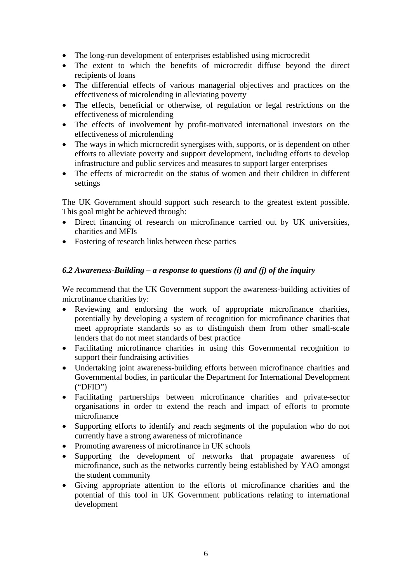- The long-run development of enterprises established using microcredit
- The extent to which the benefits of microcredit diffuse beyond the direct recipients of loans
- The differential effects of various managerial objectives and practices on the effectiveness of microlending in alleviating poverty
- The effects, beneficial or otherwise, of regulation or legal restrictions on the effectiveness of microlending
- The effects of involvement by profit-motivated international investors on the effectiveness of microlending
- The ways in which microcredit synergises with, supports, or is dependent on other efforts to alleviate poverty and support development, including efforts to develop infrastructure and public services and measures to support larger enterprises
- The effects of microcredit on the status of women and their children in different settings

The UK Government should support such research to the greatest extent possible. This goal might be achieved through:

- Direct financing of research on microfinance carried out by UK universities, charities and MFIs
- Fostering of research links between these parties

# *6.2 Awareness-Building – a response to questions (i) and (j) of the inquiry*

We recommend that the UK Government support the awareness-building activities of microfinance charities by:

- Reviewing and endorsing the work of appropriate microfinance charities, potentially by developing a system of recognition for microfinance charities that meet appropriate standards so as to distinguish them from other small-scale lenders that do not meet standards of best practice
- Facilitating microfinance charities in using this Governmental recognition to support their fundraising activities
- Undertaking joint awareness-building efforts between microfinance charities and Governmental bodies, in particular the Department for International Development ("DFID")
- Facilitating partnerships between microfinance charities and private-sector organisations in order to extend the reach and impact of efforts to promote microfinance
- Supporting efforts to identify and reach segments of the population who do not currently have a strong awareness of microfinance
- Promoting awareness of microfinance in UK schools
- Supporting the development of networks that propagate awareness of microfinance, such as the networks currently being established by YAO amongst the student community
- Giving appropriate attention to the efforts of microfinance charities and the potential of this tool in UK Government publications relating to international development